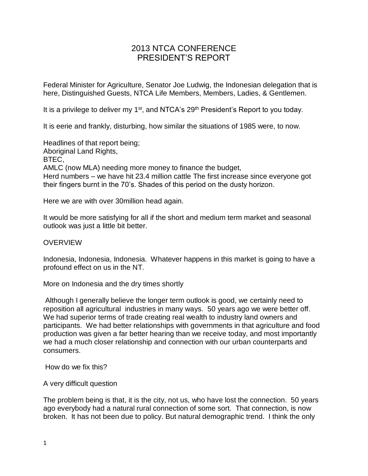# 2013 NTCA CONFERENCE PRESIDENT'S REPORT

Federal Minister for Agriculture, Senator Joe Ludwig, the Indonesian delegation that is here, Distinguished Guests, NTCA Life Members, Members, Ladies, & Gentlemen.

It is a privilege to deliver my 1<sup>st</sup>, and NTCA's 29<sup>th</sup> President's Report to you today.

It is eerie and frankly, disturbing, how similar the situations of 1985 were, to now.

Headlines of that report being; Aboriginal Land Rights, BTEC, AMLC (now MLA) needing more money to finance the budget, Herd numbers – we have hit 23.4 million cattle The first increase since everyone got their fingers burnt in the 70's. Shades of this period on the dusty horizon.

Here we are with over 30million head again.

It would be more satisfying for all if the short and medium term market and seasonal outlook was just a little bit better.

#### **OVERVIEW**

Indonesia, Indonesia, Indonesia. Whatever happens in this market is going to have a profound effect on us in the NT.

More on Indonesia and the dry times shortly

Although I generally believe the longer term outlook is good, we certainly need to reposition all agricultural industries in many ways. 50 years ago we were better off. We had superior terms of trade creating real wealth to industry land owners and participants. We had better relationships with governments in that agriculture and food production was given a far better hearing than we receive today, and most importantly we had a much closer relationship and connection with our urban counterparts and consumers.

How do we fix this?

A very difficult question

The problem being is that, it is the city, not us, who have lost the connection. 50 years ago everybody had a natural rural connection of some sort. That connection, is now broken. It has not been due to policy. But natural demographic trend. I think the only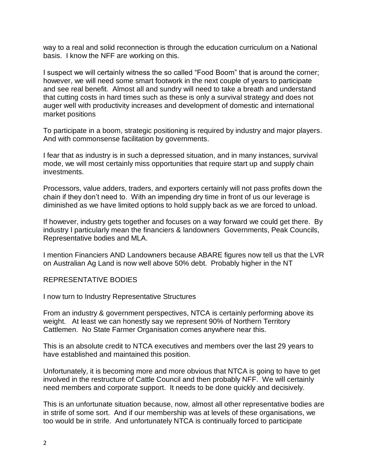way to a real and solid reconnection is through the education curriculum on a National basis. I know the NFF are working on this.

I suspect we will certainly witness the so called "Food Boom" that is around the corner; however, we will need some smart footwork in the next couple of years to participate and see real benefit. Almost all and sundry will need to take a breath and understand that cutting costs in hard times such as these is only a survival strategy and does not auger well with productivity increases and development of domestic and international market positions

To participate in a boom, strategic positioning is required by industry and major players. And with commonsense facilitation by governments.

I fear that as industry is in such a depressed situation, and in many instances, survival mode, we will most certainly miss opportunities that require start up and supply chain investments.

Processors, value adders, traders, and exporters certainly will not pass profits down the chain if they don't need to. With an impending dry time in front of us our leverage is diminished as we have limited options to hold supply back as we are forced to unload.

If however, industry gets together and focuses on a way forward we could get there. By industry I particularly mean the financiers & landowners Governments, Peak Councils, Representative bodies and MLA.

I mention Financiers AND Landowners because ABARE figures now tell us that the LVR on Australian Ag Land is now well above 50% debt. Probably higher in the NT

REPRESENTATIVE BODIES

I now turn to Industry Representative Structures

From an industry & government perspectives, NTCA is certainly performing above its weight. At least we can honestly say we represent 90% of Northern Territory Cattlemen. No State Farmer Organisation comes anywhere near this.

This is an absolute credit to NTCA executives and members over the last 29 years to have established and maintained this position.

Unfortunately, it is becoming more and more obvious that NTCA is going to have to get involved in the restructure of Cattle Council and then probably NFF. We will certainly need members and corporate support. It needs to be done quickly and decisively.

This is an unfortunate situation because, now, almost all other representative bodies are in strife of some sort. And if our membership was at levels of these organisations, we too would be in strife. And unfortunately NTCA is continually forced to participate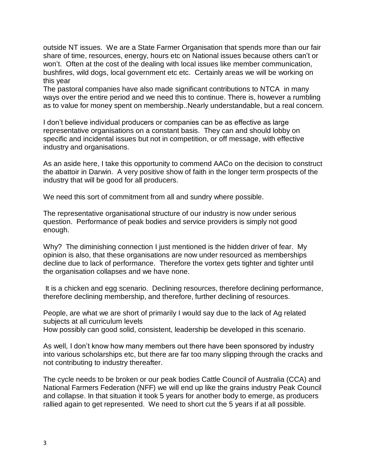outside NT issues. We are a State Farmer Organisation that spends more than our fair share of time, resources, energy, hours etc on National issues because others can't or won't. Often at the cost of the dealing with local issues like member communication, bushfires, wild dogs, local government etc etc. Certainly areas we will be working on this year

The pastoral companies have also made significant contributions to NTCA in many ways over the entire period and we need this to continue. There is, however a rumbling as to value for money spent on membership..Nearly understandable, but a real concern.

I don't believe individual producers or companies can be as effective as large representative organisations on a constant basis. They can and should lobby on specific and incidental issues but not in competition, or off message, with effective industry and organisations.

As an aside here, I take this opportunity to commend AACo on the decision to construct the abattoir in Darwin. A very positive show of faith in the longer term prospects of the industry that will be good for all producers.

We need this sort of commitment from all and sundry where possible.

The representative organisational structure of our industry is now under serious question. Performance of peak bodies and service providers is simply not good enough.

Why? The diminishing connection I just mentioned is the hidden driver of fear. My opinion is also, that these organisations are now under resourced as memberships decline due to lack of performance. Therefore the vortex gets tighter and tighter until the organisation collapses and we have none.

It is a chicken and egg scenario. Declining resources, therefore declining performance, therefore declining membership, and therefore, further declining of resources.

People, are what we are short of primarily I would say due to the lack of Ag related subjects at all curriculum levels

How possibly can good solid, consistent, leadership be developed in this scenario.

As well, I don't know how many members out there have been sponsored by industry into various scholarships etc, but there are far too many slipping through the cracks and not contributing to industry thereafter.

The cycle needs to be broken or our peak bodies Cattle Council of Australia (CCA) and National Farmers Federation (NFF) we will end up like the grains industry Peak Council and collapse. In that situation it took 5 years for another body to emerge, as producers rallied again to get represented. We need to short cut the 5 years if at all possible.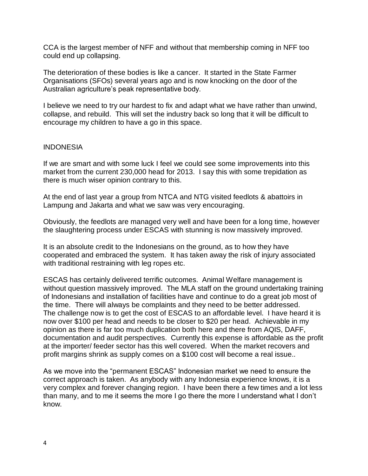CCA is the largest member of NFF and without that membership coming in NFF too could end up collapsing.

The deterioration of these bodies is like a cancer. It started in the State Farmer Organisations (SFOs) several years ago and is now knocking on the door of the Australian agriculture's peak representative body.

I believe we need to try our hardest to fix and adapt what we have rather than unwind, collapse, and rebuild. This will set the industry back so long that it will be difficult to encourage my children to have a go in this space.

#### INDONESIA

If we are smart and with some luck I feel we could see some improvements into this market from the current 230,000 head for 2013. I say this with some trepidation as there is much wiser opinion contrary to this.

At the end of last year a group from NTCA and NTG visited feedlots & abattoirs in Lampung and Jakarta and what we saw was very encouraging.

Obviously, the feedlots are managed very well and have been for a long time, however the slaughtering process under ESCAS with stunning is now massively improved.

It is an absolute credit to the Indonesians on the ground, as to how they have cooperated and embraced the system. It has taken away the risk of injury associated with traditional restraining with leg ropes etc.

ESCAS has certainly delivered terrific outcomes. Animal Welfare management is without question massively improved. The MLA staff on the ground undertaking training of Indonesians and installation of facilities have and continue to do a great job most of the time. There will always be complaints and they need to be better addressed. The challenge now is to get the cost of ESCAS to an affordable level. I have heard it is now over \$100 per head and needs to be closer to \$20 per head. Achievable in my opinion as there is far too much duplication both here and there from AQIS, DAFF, documentation and audit perspectives. Currently this expense is affordable as the profit at the importer/ feeder sector has this well covered. When the market recovers and profit margins shrink as supply comes on a \$100 cost will become a real issue..

As we move into the "permanent ESCAS" Indonesian market we need to ensure the correct approach is taken. As anybody with any Indonesia experience knows, it is a very complex and forever changing region. I have been there a few times and a lot less than many, and to me it seems the more I go there the more I understand what I don't know.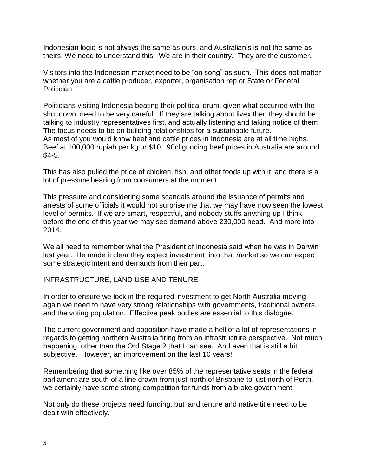Indonesian logic is not always the same as ours, and Australian's is not the same as theirs. We need to understand this. We are in their country. They are the customer.

Visitors into the Indonesian market need to be "on song" as such. This does not matter whether you are a cattle producer, exporter, organisation rep or State or Federal Politician.

Politicians visiting Indonesia beating their political drum, given what occurred with the shut down, need to be very careful. If they are talking about livex then they should be talking to industry representatives first, and actually listening and taking notice of them. The focus needs to be on building relationships for a sustainable future. As most of you would know beef and cattle prices in Indonesia are at all time highs. Beef at 100,000 rupiah per kg or \$10. 90cl grinding beef prices in Australia are around \$4-5.

This has also pulled the price of chicken, fish, and other foods up with it, and there is a lot of pressure bearing from consumers at the moment.

This pressure and considering some scandals around the issuance of permits and arrests of some officials it would not surprise me that we may have now seen the lowest level of permits. If we are smart, respectful, and nobody stuffs anything up I think before the end of this year we may see demand above 230,000 head. And more into 2014.

We all need to remember what the President of Indonesia said when he was in Darwin last year. He made it clear they expect investment into that market so we can expect some strategic intent and demands from their part.

#### INFRASTRUCTURE, LAND USE AND TENURE

In order to ensure we lock in the required investment to get North Australia moving again we need to have very strong relationships with governments, traditional owners, and the voting population. Effective peak bodies are essential to this dialogue.

The current government and opposition have made a hell of a lot of representations in regards to getting northern Australia firing from an infrastructure perspective. Not much happening, other than the Ord Stage 2 that I can see. And even that is still a bit subjective. However, an improvement on the last 10 years!

Remembering that something like over 85% of the representative seats in the federal parliament are south of a line drawn from just north of Brisbane to just north of Perth, we certainly have some strong competition for funds from a broke government.

Not only do these projects need funding, but land tenure and native title need to be dealt with effectively.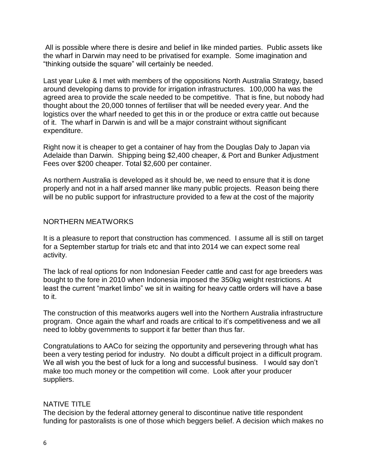All is possible where there is desire and belief in like minded parties. Public assets like the wharf in Darwin may need to be privatised for example. Some imagination and "thinking outside the square" will certainly be needed.

Last year Luke & I met with members of the oppositions North Australia Strategy, based around developing dams to provide for irrigation infrastructures. 100,000 ha was the agreed area to provide the scale needed to be competitive. That is fine, but nobody had thought about the 20,000 tonnes of fertiliser that will be needed every year. And the logistics over the wharf needed to get this in or the produce or extra cattle out because of it. The wharf in Darwin is and will be a major constraint without significant expenditure.

Right now it is cheaper to get a container of hay from the Douglas Daly to Japan via Adelaide than Darwin. Shipping being \$2,400 cheaper, & Port and Bunker Adjustment Fees over \$200 cheaper. Total \$2,600 per container.

As northern Australia is developed as it should be, we need to ensure that it is done properly and not in a half arsed manner like many public projects. Reason being there will be no public support for infrastructure provided to a few at the cost of the majority

#### NORTHERN MEATWORKS

It is a pleasure to report that construction has commenced. I assume all is still on target for a September startup for trials etc and that into 2014 we can expect some real activity.

The lack of real options for non Indonesian Feeder cattle and cast for age breeders was bought to the fore in 2010 when Indonesia imposed the 350kg weight restrictions. At least the current "market limbo" we sit in waiting for heavy cattle orders will have a base to it.

The construction of this meatworks augers well into the Northern Australia infrastructure program. Once again the wharf and roads are critical to it's competitiveness and we all need to lobby governments to support it far better than thus far.

Congratulations to AACo for seizing the opportunity and persevering through what has been a very testing period for industry. No doubt a difficult project in a difficult program. We all wish you the best of luck for a long and successful business. I would say don't make too much money or the competition will come. Look after your producer suppliers.

## NATIVE TITLE

The decision by the federal attorney general to discontinue native title respondent funding for pastoralists is one of those which beggers belief. A decision which makes no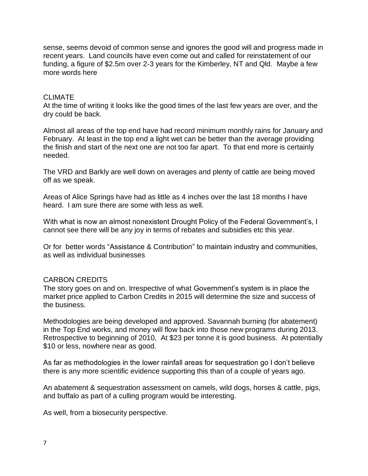sense, seems devoid of common sense and ignores the good will and progress made in recent years. Land councils have even come out and called for reinstatement of our funding, a figure of \$2.5m over 2-3 years for the Kimberley, NT and Qld. Maybe a few more words here

## CLIMATE

At the time of writing it looks like the good times of the last few years are over, and the dry could be back.

Almost all areas of the top end have had record minimum monthly rains for January and February. At least in the top end a light wet can be better than the average providing the finish and start of the next one are not too far apart. To that end more is certainly needed.

The VRD and Barkly are well down on averages and plenty of cattle are being moved off as we speak.

Areas of Alice Springs have had as little as 4 inches over the last 18 months I have heard. I am sure there are some with less as well.

With what is now an almost nonexistent Drought Policy of the Federal Government's, I cannot see there will be any joy in terms of rebates and subsidies etc this year.

Or for better words "Assistance & Contribution" to maintain industry and communities, as well as individual businesses

## CARBON CREDITS

The story goes on and on. Irrespective of what Government's system is in place the market price applied to Carbon Credits in 2015 will determine the size and success of the business.

Methodologies are being developed and approved. Savannah burning (for abatement) in the Top End works, and money will flow back into those new programs during 2013. Retrospective to beginning of 2010, At \$23 per tonne it is good business. At potentially \$10 or less, nowhere near as good.

As far as methodologies in the lower rainfall areas for sequestration go I don't believe there is any more scientific evidence supporting this than of a couple of years ago.

An abatement & sequestration assessment on camels, wild dogs, horses & cattle, pigs, and buffalo as part of a culling program would be interesting.

As well, from a biosecurity perspective.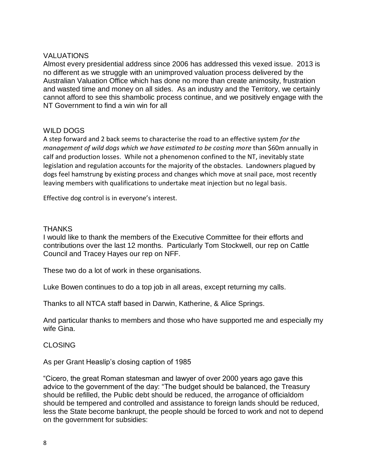## VALUATIONS

Almost every presidential address since 2006 has addressed this vexed issue. 2013 is no different as we struggle with an unimproved valuation process delivered by the Australian Valuation Office which has done no more than create animosity, frustration and wasted time and money on all sides. As an industry and the Territory, we certainly cannot afford to see this shambolic process continue, and we positively engage with the NT Government to find a win win for all

## WILD DOGS

A step forward and 2 back seems to characterise the road to an effective system *for the management of wild dogs which we have estimated to be costing more* than \$60m annually in calf and production losses. While not a phenomenon confined to the NT, inevitably state legislation and regulation accounts for the majority of the obstacles. Landowners plagued by dogs feel hamstrung by existing process and changes which move at snail pace, most recently leaving members with qualifications to undertake meat injection but no legal basis.

Effective dog control is in everyone's interest.

#### **THANKS**

I would like to thank the members of the Executive Committee for their efforts and contributions over the last 12 months. Particularly Tom Stockwell, our rep on Cattle Council and Tracey Hayes our rep on NFF.

These two do a lot of work in these organisations.

Luke Bowen continues to do a top job in all areas, except returning my calls.

Thanks to all NTCA staff based in Darwin, Katherine, & Alice Springs.

And particular thanks to members and those who have supported me and especially my wife Gina.

## CLOSING

As per Grant Heaslip's closing caption of 1985

"Cicero, the great Roman statesman and lawyer of over 2000 years ago gave this advice to the government of the day: "The budget should be balanced, the Treasury should be refilled, the Public debt should be reduced, the arrogance of officialdom should be tempered and controlled and assistance to foreign lands should be reduced, less the State become bankrupt, the people should be forced to work and not to depend on the government for subsidies: